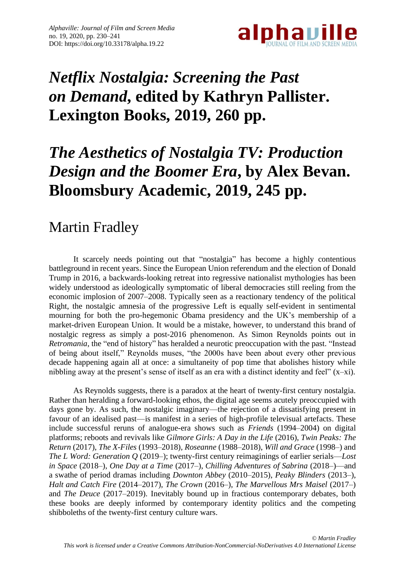

# *Netflix Nostalgia: Screening the Past on Demand***, edited by Kathryn Pallister. Lexington Books, 2019, 260 pp.**

## *The Aesthetics of Nostalgia TV: Production Design and the Boomer Era***, by Alex Bevan. Bloomsbury Academic, 2019, 245 pp.**

### Martin Fradley

It scarcely needs pointing out that "nostalgia" has become a highly contentious battleground in recent years. Since the European Union referendum and the election of Donald Trump in 2016, a backwards-looking retreat into regressive nationalist mythologies has been widely understood as ideologically symptomatic of liberal democracies still reeling from the economic implosion of 2007–2008. Typically seen as a reactionary tendency of the political Right, the nostalgic amnesia of the progressive Left is equally self-evident in sentimental mourning for both the pro-hegemonic Obama presidency and the UK's membership of a market-driven European Union. It would be a mistake, however, to understand this brand of nostalgic regress as simply a post-2016 phenomenon. As Simon Reynolds points out in *Retromania*, the "end of history" has heralded a neurotic preoccupation with the past. "Instead of being about itself," Reynolds muses, "the 2000s have been about every other previous decade happening again all at once: a simultaneity of pop time that abolishes history while nibbling away at the present's sense of itself as an era with a distinct identity and feel" (x–xi).

As Reynolds suggests, there is a paradox at the heart of twenty-first century nostalgia. Rather than heralding a forward-looking ethos, the digital age seems acutely preoccupied with days gone by. As such, the nostalgic imaginary—the rejection of a dissatisfying present in favour of an idealised past—is manifest in a series of high-profile televisual artefacts. These include successful reruns of analogue-era shows such as *Friends* (1994–2004) on digital platforms; reboots and revivals like *Gilmore Girls: A Day in the Life* (2016), *Twin Peaks: The Return* (2017), *The X-Files* (1993–2018)*, Roseanne* (1988–2018), *Will and Grace* (1998–) and *The L Word: Generation Q* (2019–); twenty-first century reimaginings of earlier serials—*Lost in Space* (2018–), *One Day at a Time* (2017–), *Chilling Adventures of Sabrina* (2018–)—and a swathe of period dramas including *Downton Abbey* (2010–2015), *Peaky Blinders* (2013–), *Halt and Catch Fire* (2014–2017)*, The Crown* (2016–), *The Marvellous Mrs Maisel* (2017–) and *The Deuce* (2017–2019). Inevitably bound up in fractious contemporary debates, both these books are deeply informed by contemporary identity politics and the competing shibboleths of the twenty-first century culture wars.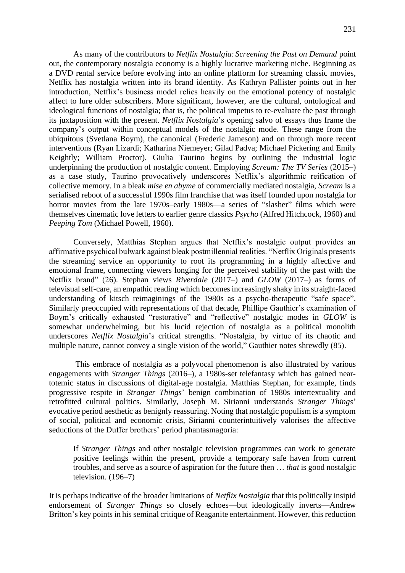As many of the contributors to *Netflix Nostalgia: Screening the Past on Demand* point out, the contemporary nostalgia economy is a highly lucrative marketing niche. Beginning as a DVD rental service before evolving into an online platform for streaming classic movies, Netflix has nostalgia written into its brand identity. As Kathryn Pallister points out in her introduction, Netflix's business model relies heavily on the emotional potency of nostalgic affect to lure older subscribers. More significant, however, are the cultural, ontological and ideological functions of nostalgia; that is, the political impetus to re-evaluate the past through its juxtaposition with the present. *Netflix Nostalgia*'s opening salvo of essays thus frame the company's output within conceptual models of the nostalgic mode. These range from the ubiquitous (Svetlana Boym), the canonical (Frederic Jameson) and on through more recent interventions (Ryan Lizardi; Katharina Niemeyer; Gilad Padva; Michael Pickering and Emily Keightly; William Proctor). Giulia Taurino begins by outlining the industrial logic underpinning the production of nostalgic content. Employing *Scream: The TV Series* (2015–) as a case study, Taurino provocatively underscores Netflix's algorithmic reification of collective memory. In a bleak *mise en abyme* of commercially mediated nostalgia, *Scream* is a serialised reboot of a successful 1990s film franchise that was itself founded upon nostalgia for horror movies from the late 1970s–early 1980s—a series of "slasher" films which were themselves cinematic love letters to earlier genre classics *Psycho* (Alfred Hitchcock, 1960) and *Peeping Tom* (Michael Powell, 1960).

Conversely, Matthias Stephan argues that Netflix's nostalgic output provides an affirmative psychical bulwark against bleak postmillennial realities. "Netflix Originals presents the streaming service an opportunity to root its programming in a highly affective and emotional frame, connecting viewers longing for the perceived stability of the past with the Netflix brand" (26). Stephan views *Riverdale* (2017–) and *GLOW* (2017–) as forms of televisual self-care, an empathic reading which becomes increasingly shaky in its straight-faced understanding of kitsch reimaginings of the 1980s as a psycho-therapeutic "safe space". Similarly preoccupied with representations of that decade, Phillipe Gauthier's examination of Boym's critically exhausted "restorative" and "reflective" nostalgic modes in *GLOW* is somewhat underwhelming, but his lucid rejection of nostalgia as a political monolith underscores *Netflix Nostalgia*'s critical strengths. "Nostalgia, by virtue of its chaotic and multiple nature, cannot convey a single vision of the world," Gauthier notes shrewdly (85).

This embrace of nostalgia as a polyvocal phenomenon is also illustrated by various engagements with *Stranger Things* (2016–), a 1980s-set telefantasy which has gained neartotemic status in discussions of digital-age nostalgia. Matthias Stephan, for example, finds progressive respite in *Stranger Things*' benign combination of 1980s intertextuality and retrofitted cultural politics. Similarly, Joseph M. Sirianni understands *Stranger Things*' evocative period aesthetic as benignly reassuring. Noting that nostalgic populism is a symptom of social, political and economic crisis, Sirianni counterintuitively valorises the affective seductions of the Duffer brothers' period phantasmagoria:

If *Stranger Things* and other nostalgic television programmes can work to generate positive feelings within the present, provide a temporary safe haven from current troubles, and serve as a source of aspiration for the future then … *that* is good nostalgic television. (196–7)

It is perhaps indicative of the broader limitations of *Netflix Nostalgia* that this politically insipid endorsement of *Stranger Things* so closely echoes—but ideologically inverts—Andrew Britton's key points in his seminal critique of Reaganite entertainment. However, this reduction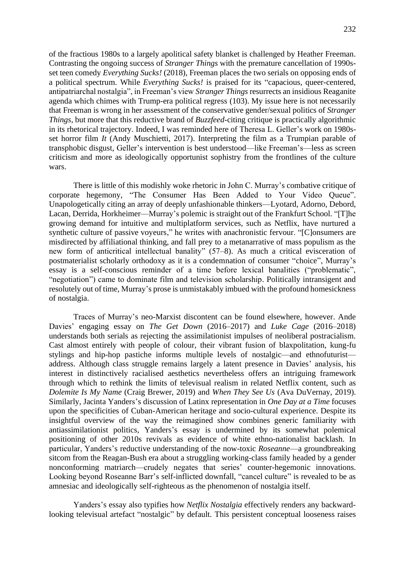232

of the fractious 1980s to a largely apolitical safety blanket is challenged by Heather Freeman. Contrasting the ongoing success of *Stranger Things* with the premature cancellation of 1990sset teen comedy *Everything Sucks!* (2018), Freeman places the two serials on opposing ends of a political spectrum. While *Everything Sucks!* is praised for its "capacious, queer-centered, antipatriarchal nostalgia", in Freeman's view *Stranger Things* resurrects an insidious Reaganite agenda which chimes with Trump-era political regress (103). My issue here is not necessarily that Freeman is wrong in her assessment of the conservative gender/sexual politics of *Stranger Things*, but more that this reductive brand of *Buzzfeed*-citing critique is practically algorithmic in its rhetorical trajectory. Indeed, I was reminded here of Theresa L. Geller's work on 1980sset horror film *It* (Andy Muschietti, 2017). Interpreting the film as a Trumpian parable of transphobic disgust, Geller's intervention is best understood—like Freeman's—less as screen criticism and more as ideologically opportunist sophistry from the frontlines of the culture wars.

There is little of this modishly woke rhetoric in John C. Murray's combative critique of corporate hegemony, "The Consumer Has Been Added to Your Video Queue". Unapologetically citing an array of deeply unfashionable thinkers—Lyotard, Adorno, Debord, Lacan, Derrida, Horkheimer—Murray's polemic is straight out of the Frankfurt School. "[T]he growing demand for intuitive and multiplatform services, such as Netflix, have nurtured a synthetic culture of passive voyeurs," he writes with anachronistic fervour. "[C]onsumers are misdirected by affiliational thinking, and fall prey to a metanarrative of mass populism as the new form of anticritical intellectual banality" (57–8). As much a critical evisceration of postmaterialist scholarly orthodoxy as it is a condemnation of consumer "choice", Murray's essay is a self-conscious reminder of a time before lexical banalities ("problematic", "negotiation") came to dominate film and television scholarship. Politically intransigent and resolutely out of time, Murray's prose is unmistakably imbued with the profound homesickness of nostalgia.

Traces of Murray's neo-Marxist discontent can be found elsewhere, however. Ande Davies' engaging essay on *The Get Down* (2016–2017) and *Luke Cage* (2016–2018) understands both serials as rejecting the assimilationist impulses of neoliberal postracialism. Cast almost entirely with people of colour, their vibrant fusion of blaxpolitation, kung-fu stylings and hip-hop pastiche informs multiple levels of nostalgic—and ethnofuturist address. Although class struggle remains largely a latent presence in Davies' analysis, his interest in distinctively racialised aesthetics nevertheless offers an intriguing framework through which to rethink the limits of televisual realism in related Netflix content, such as *Dolemite Is My Name* (Craig Brewer, 2019) and *When They See Us* (Ava DuVernay, 2019). Similarly, Jacinta Yanders's discussion of Latinx representation in *One Day at a Time* focuses upon the specificities of Cuban-American heritage and socio-cultural experience. Despite its insightful overview of the way the reimagined show combines generic familiarity with antiassimilationist politics, Yanders's essay is undermined by its somewhat polemical positioning of other 2010s revivals as evidence of white ethno-nationalist backlash. In particular, Yanders's reductive understanding of the now-toxic *Roseanne*—a groundbreaking sitcom from the Reagan-Bush era about a struggling working-class family headed by a gender nonconforming matriarch—crudely negates that series' counter-hegemonic innovations. Looking beyond Roseanne Barr's self-inflicted downfall, "cancel culture" is revealed to be as amnesiac and ideologically self-righteous as the phenomenon of nostalgia itself.

Yanders's essay also typifies how *Netflix Nostalgia* effectively renders any backwardlooking televisual artefact "nostalgic" by default. This persistent conceptual looseness raises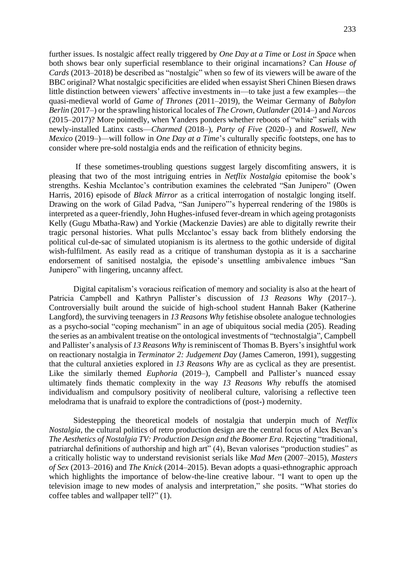further issues. Is nostalgic affect really triggered by *One Day at a Time* or *Lost in Space* when both shows bear only superficial resemblance to their original incarnations? Can *House of Cards* (2013–2018) be described as "nostalgic" when so few of its viewers will be aware of the BBC original? What nostalgic specificities are elided when essayist Sheri Chinen Biesen draws little distinction between viewers' affective investments in—to take just a few examples—the quasi-medieval world of *Game of Thrones* (2011–2019), the Weimar Germany of *Babylon Berlin* (2017–) or the sprawling historical locales of *The Crown*, *Outlander* (2014–) and *Narcos*

(2015–2017)? More pointedly, when Yanders ponders whether reboots of "white" serials with newly-installed Latinx casts—*Charmed* (2018–), *Party of Five* (2020–) and *Roswell, New Mexico* (2019–)—will follow in *One Day at a Time*'s culturally specific footsteps, one has to consider where pre-sold nostalgia ends and the reification of ethnicity begins.

If these sometimes-troubling questions suggest largely discomfiting answers, it is pleasing that two of the most intriguing entries in *Netflix Nostalgia* epitomise the book's strengths. Keshia Mcclantoc's contribution examines the celebrated "San Junipero" (Owen Harris, 2016) episode of *Black Mirror* as a critical interrogation of nostalgic longing itself. Drawing on the work of Gilad Padva, "San Junipero"'s hyperreal rendering of the 1980s is interpreted as a queer-friendly, John Hughes-infused fever-dream in which ageing protagonists Kelly (Gugu Mbatha-Raw) and Yorkie (Mackenzie Davies) are able to digitally rewrite their tragic personal histories. What pulls Mcclantoc's essay back from blithely endorsing the political cul-de-sac of simulated utopianism is its alertness to the gothic underside of digital wish-fulfilment. As easily read as a critique of transhuman dystopia as it is a saccharine endorsement of sanitised nostalgia, the episode's unsettling ambivalence imbues "San Junipero" with lingering, uncanny affect.

Digital capitalism's voracious reification of memory and sociality is also at the heart of Patricia Campbell and Kathryn Pallister's discussion of *13 Reasons Why* (2017–). Controversially built around the suicide of high-school student Hannah Baker (Katherine Langford), the surviving teenagers in *13 Reasons Why* fetishise obsolete analogue technologies as a psycho-social "coping mechanism" in an age of ubiquitous social media (205). Reading the series as an ambivalent treatise on the ontological investments of "technostalgia", Campbell and Pallister's analysis of *13 Reasons Why* is reminiscent of Thomas B. Byers's insightful work on reactionary nostalgia in *Terminator 2: Judgement Day* (James Cameron, 1991), suggesting that the cultural anxieties explored in *13 Reasons Why* are as cyclical as they are presentist. Like the similarly themed *Euphoria* (2019–), Campbell and Pallister's nuanced essay ultimately finds thematic complexity in the way *13 Reasons Why* rebuffs the atomised individualism and compulsory positivity of neoliberal culture, valorising a reflective teen melodrama that is unafraid to explore the contradictions of (post-) modernity.

Sidestepping the theoretical models of nostalgia that underpin much of *Netflix Nostalgia*, the cultural politics of retro production design are the central focus of Alex Bevan's *The Aesthetics of Nostalgia TV: Production Design and the Boomer Era*. Rejecting "traditional, patriarchal definitions of authorship and high art" (4), Bevan valorises "production studies" as a critically holistic way to understand revisionist serials like *Mad Men* (2007–2015), *Masters of Sex* (2013–2016) and *The Knick* (2014–2015). Bevan adopts a quasi-ethnographic approach which highlights the importance of below-the-line creative labour. "I want to open up the television image to new modes of analysis and interpretation," she posits. "What stories do coffee tables and wallpaper tell?" (1).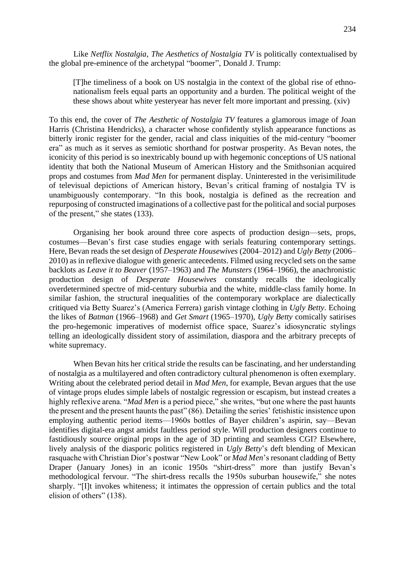Like *Netflix Nostalgia*, *The Aesthetics of Nostalgia TV* is politically contextualised by the global pre-eminence of the archetypal "boomer", Donald J. Trump:

[T]he timeliness of a book on US nostalgia in the context of the global rise of ethnonationalism feels equal parts an opportunity and a burden. The political weight of the these shows about white yesteryear has never felt more important and pressing. (xiv)

To this end, the cover of *The Aesthetic of Nostalgia TV* features a glamorous image of Joan Harris (Christina Hendricks), a character whose confidently stylish appearance functions as bitterly ironic register for the gender, racial and class iniquities of the mid-century "boomer era" as much as it serves as semiotic shorthand for postwar prosperity. As Bevan notes, the iconicity of this period is so inextricably bound up with hegemonic conceptions of US national identity that both the National Museum of American History and the Smithsonian acquired props and costumes from *Mad Men* for permanent display. Uninterested in the verisimilitude of televisual depictions of American history, Bevan's critical framing of nostalgia TV is unambiguously contemporary. "In this book, nostalgia is defined as the recreation and repurposing of constructed imaginations of a collective past for the political and social purposes of the present," she states (133).

Organising her book around three core aspects of production design—sets, props, costumes—Bevan's first case studies engage with serials featuring contemporary settings. Here, Bevan reads the set design of *Desperate Housewives* (2004–2012) and *Ugly Betty* (2006– 2010) as in reflexive dialogue with generic antecedents. Filmed using recycled sets on the same backlots as *Leave it to Beaver* (1957–1963) and *The Munsters* (1964–1966), the anachronistic production design of *Desperate Housewives* constantly recalls the ideologically overdetermined spectre of mid-century suburbia and the white, middle-class family home. In similar fashion, the structural inequalities of the contemporary workplace are dialectically critiqued via Betty Suarez's (America Ferrera) garish vintage clothing in *Ugly Betty*. Echoing the likes of *Batman* (1966–1968) and *Get Smart* (1965–1970), *Ugly Betty* comically satirises the pro-hegemonic imperatives of modernist office space, Suarez's idiosyncratic stylings telling an ideologically dissident story of assimilation, diaspora and the arbitrary precepts of white supremacy.

When Bevan hits her critical stride the results can be fascinating, and her understanding of nostalgia as a multilayered and often contradictory cultural phenomenon is often exemplary. Writing about the celebrated period detail in *Mad Men*, for example, Bevan argues that the use of vintage props eludes simple labels of nostalgic regression or escapism, but instead creates a highly reflexive arena. "*Mad Men* is a period piece," she writes, "but one where the past haunts the present and the present haunts the past" (86). Detailing the series' fetishistic insistence upon employing authentic period items—1960s bottles of Bayer children's aspirin, say—Bevan identifies digital-era angst amidst faultless period style. Will production designers continue to fastidiously source original props in the age of 3D printing and seamless CGI? Elsewhere, lively analysis of the diasporic politics registered in *Ugly Betty*'s deft blending of Mexican rasquache with Christian Dior's postwar "New Look" or *Mad Men*'sresonant cladding of Betty Draper (January Jones) in an iconic 1950s "shirt-dress" more than justify Bevan's methodological fervour. "The shirt-dress recalls the 1950s suburban housewife," she notes sharply. "[I]t invokes whiteness; it intimates the oppression of certain publics and the total elision of others" (138).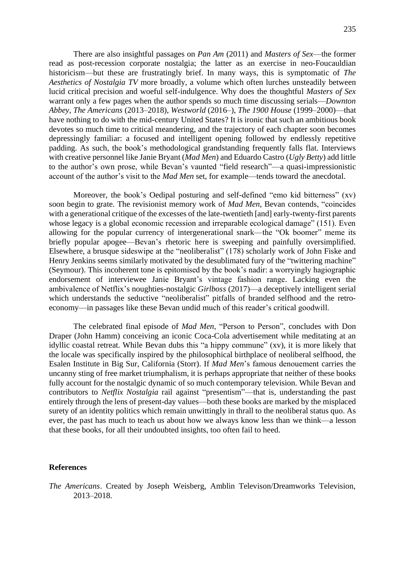There are also insightful passages on *Pan Am* (2011) and *Masters of Sex*—the former read as post-recession corporate nostalgia; the latter as an exercise in neo-Foucauldian historicism—but these are frustratingly brief. In many ways, this is symptomatic of *The Aesthetics of Nostalgia TV* more broadly, a volume which often lurches unsteadily between lucid critical precision and woeful self-indulgence. Why does the thoughtful *Masters of Sex* warrant only a few pages when the author spends so much time discussing serials—*Downton Abbey*, *The Americans* (2013–2018), *Westworld* (2016–), *The 1900 House* (1999–2000)—that have nothing to do with the mid-century United States? It is ironic that such an ambitious book devotes so much time to critical meandering, and the trajectory of each chapter soon becomes depressingly familiar: a focused and intelligent opening followed by endlessly repetitive padding. As such, the book's methodological grandstanding frequently falls flat. Interviews with creative personnel like Janie Bryant (*Mad Men*) and Eduardo Castro (*Ugly Betty*) add little to the author's own prose, while Bevan's vaunted "field research"—a quasi-impressionistic account of the author's visit to the *Mad Men* set, for example—tends toward the anecdotal.

Moreover, the book's Oedipal posturing and self-defined "emo kid bitterness" (xv) soon begin to grate. The revisionist memory work of *Mad Men*, Bevan contends, "coincides with a generational critique of the excesses of the late-twentieth [and] early-twenty-first parents whose legacy is a global economic recession and irreparable ecological damage" (151). Even allowing for the popular currency of intergenerational snark—the "Ok boomer" meme its briefly popular apogee—Bevan's rhetoric here is sweeping and painfully oversimplified. Elsewhere, a brusque sideswipe at the "neoliberalist" (178) scholarly work of John Fiske and Henry Jenkins seems similarly motivated by the desublimated fury of the "twittering machine" (Seymour). This incoherent tone is epitomised by the book's nadir: a worryingly hagiographic endorsement of interviewee Janie Bryant's vintage fashion range. Lacking even the ambivalence of Netflix's noughties-nostalgic *Girlboss* (2017)—a deceptively intelligent serial which understands the seductive "neoliberalist" pitfalls of branded selfhood and the retroeconomy—in passages like these Bevan undid much of this reader's critical goodwill.

The celebrated final episode of *Mad Men*, "Person to Person", concludes with Don Draper (John Hamm) conceiving an iconic Coca-Cola advertisement while meditating at an idyllic coastal retreat. While Bevan dubs this "a hippy commune" (xv), it is more likely that the locale was specifically inspired by the philosophical birthplace of neoliberal selfhood, the Esalen Institute in Big Sur, California (Storr). If *Mad Men*'s famous denouement carries the uncanny sting of free market triumphalism, it is perhaps appropriate that neither of these books fully account for the nostalgic dynamic of so much contemporary television. While Bevan and contributors to *Netflix Nostalgia* rail against "presentism"—that is, understanding the past entirely through the lens of present-day values—both these books are marked by the misplaced surety of an identity politics which remain unwittingly in thrall to the neoliberal status quo. As ever, the past has much to teach us about how we always know less than we think—a lesson that these books, for all their undoubted insights, too often fail to heed.

#### **References**

*The Americans*. Created by Joseph Weisberg, Amblin Televison/Dreamworks Television, 2013–2018.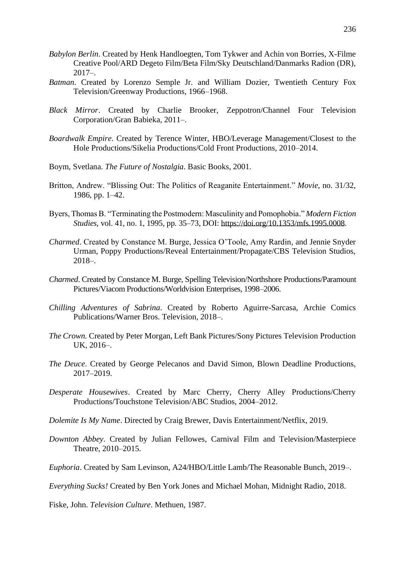- *Babylon Berlin*. Created by Henk Handloegten, Tom Tykwer and Achin von Borries, X-Filme Creative Pool/ARD Degeto Film/Beta Film/Sky Deutschland/Danmarks Radion (DR),  $2017-$
- *Batman*. Created by Lorenzo Semple Jr. and William Dozier, Twentieth Century Fox Television/Greenway Productions, 1966–1968.
- *Black Mirror*. Created by Charlie Brooker, Zeppotron/Channel Four Television Corporation/Gran Babieka, 2011–.
- *Boardwalk Empire*. Created by Terence Winter, HBO/Leverage Management/Closest to the Hole Productions/Sikelia Productions/Cold Front Productions, 2010–2014.
- Boym, Svetlana. *The Future of Nostalgia*. Basic Books, 2001.
- Britton, Andrew. "Blissing Out: The Politics of Reaganite Entertainment." *Movie*, no. 31/32, 1986, pp. 1–42.
- Byers, Thomas B. "Terminating the Postmodern: Masculinity and Pomophobia." *Modern Fiction Studies*, vol. 41, no. 1, 1995, pp. 35–73, DOI: [https://doi.org/10.1353/mfs.1995.0008.](https://doi.org/10.1353/mfs.1995.0008)
- *Charmed*. Created by Constance M. Burge, Jessica O'Toole, Amy Rardin, and Jennie Snyder Urman, Poppy Productions/Reveal Entertainment/Propagate/CBS Television Studios, 2018–.
- *Charmed*. Created by Constance M. Burge, Spelling Television/Northshore Productions/Paramount Pictures/Viacom Productions/Worldvision Enterprises, 1998–2006.
- *Chilling Adventures of Sabrina*. Created by Roberto Aguirre-Sarcasa, Archie Comics Publications/Warner Bros. Television, 2018–.
- *The Crown.* Created by Peter Morgan, Left Bank Pictures/Sony Pictures Television Production UK, 2016–.
- *The Deuce*. Created by George Pelecanos and David Simon, Blown Deadline Productions, 2017–2019.
- *Desperate Housewives*. Created by Marc Cherry, Cherry Alley Productions/Cherry Productions/Touchstone Television/ABC Studios, 2004–2012.
- *Dolemite Is My Name*. Directed by Craig Brewer, Davis Entertainment/Netflix, 2019.
- *Downton Abbey*. Created by Julian Fellowes, Carnival Film and Television/Masterpiece Theatre, 2010–2015.
- *Euphoria*. Created by Sam Levinson, A24/HBO/Little Lamb/The Reasonable Bunch, 2019–.

*Everything Sucks!* Created by Ben York Jones and Michael Mohan, Midnight Radio, 2018.

Fiske, John. *Television Culture*. Methuen, 1987.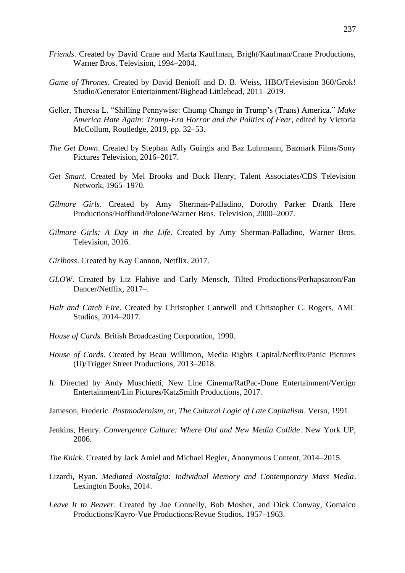- *Friends*. Created by David Crane and Marta Kauffman, Bright/Kaufman/Crane Productions, Warner Bros. Television, 1994–2004.
- *Game of Thrones*. Created by David Benioff and D. B. Weiss, HBO/Television 360/Grok! Studio/Generator Entertainment/Bighead Littlehead, 2011–2019.
- Geller, Theresa L. "Shilling Pennywise: Chump Change in Trump's (Trans) America." *Make America Hate Again: Trump-Era Horror and the Politics of Fear*, edited by Victoria McCollum, Routledge, 2019, pp. 32–53.
- *The Get Down*. Created by Stephan Adly Guirgis and Baz Luhrmann, Bazmark Films/Sony Pictures Television, 2016–2017.
- *Get Smart*. Created by Mel Brooks and Buck Henry, Talent Associates/CBS Television Network, 1965–1970.
- *Gilmore Girls*. Created by Amy Sherman-Palladino, Dorothy Parker Drank Here Productions/Hofflund/Polone/Warner Bros. Television, 2000–2007.
- *Gilmore Girls: A Day in the Life*. Created by Amy Sherman-Palladino, Warner Bros. Television, 2016.
- *Girlboss*. Created by Kay Cannon, Netflix, 2017.
- *GLOW*. Created by Liz Flahive and Carly Mensch, Tilted Productions/Perhapsatron/Fan Dancer/Netflix, 2017–.
- *Halt and Catch Fire*. Created by Christopher Cantwell and Christopher C. Rogers, AMC Studios, 2014–2017.
- *House of Cards.* British Broadcasting Corporation, 1990.
- *House of Cards*. Created by Beau Willimon, Media Rights Capital/Netflix/Panic Pictures (II)/Trigger Street Productions, 2013–2018.
- *It*. Directed by Andy Muschietti, New Line Cinema/RatPac-Dune Entertainment/Vertigo Entertainment/Lin Pictures/KatzSmith Productions, 2017.
- Jameson, Frederic. *Postmodernism, or, The Cultural Logic of Late Capitalism*. Verso, 1991.
- Jenkins, Henry. *Convergence Culture: Where Old and New Media Collide*. New York UP, 2006.
- *The Knick*. Created by Jack Amiel and Michael Begler, Anonymous Content, 2014–2015.
- Lizardi, Ryan. *Mediated Nostalgia: Individual Memory and Contemporary Mass Media*. Lexington Books, 2014.
- *Leave It to Beaver*. Created by Joe Connelly, Bob Mosher, and Dick Conway, Gomalco Productions/Kayro-Vue Productions/Revue Studios, 1957–1963.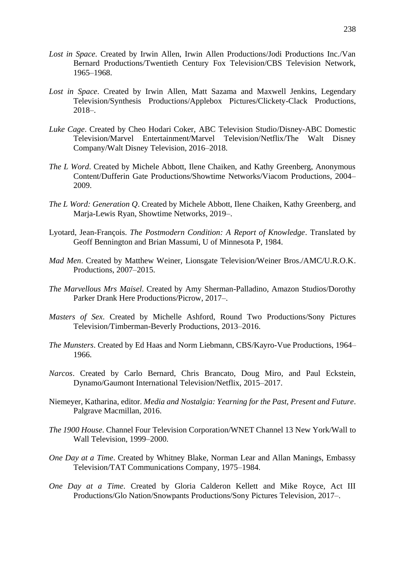- *Lost in Space*. Created by Irwin Allen, Irwin Allen Productions/Jodi Productions Inc./Van Bernard Productions/Twentieth Century Fox Television/CBS Television Network, 1965–1968.
- *Lost in Space*. Created by Irwin Allen, Matt Sazama and Maxwell Jenkins, Legendary Television/Synthesis Productions/Applebox Pictures/Clickety-Clack Productions, 2018–.
- *Luke Cage*. Created by Cheo Hodari Coker, ABC Television Studio/Disney-ABC Domestic Television/Marvel Entertainment/Marvel Television/Netflix/The Walt Disney Company/Walt Disney Television, 2016–2018.
- *The L Word*. Created by Michele Abbott, Ilene Chaiken, and Kathy Greenberg, Anonymous Content/Dufferin Gate Productions/Showtime Networks/Viacom Productions, 2004– 2009.
- *The L Word: Generation Q*. Created by Michele Abbott, Ilene Chaiken, Kathy Greenberg, and Marja-Lewis Ryan, Showtime Networks, 2019–.
- Lyotard, Jean-François. *The Postmodern Condition: A Report of Knowledge*. Translated by Geoff Bennington and Brian Massumi, U of Minnesota P, 1984.
- *Mad Men*. Created by Matthew Weiner, Lionsgate Television/Weiner Bros./AMC/U.R.O.K. Productions, 2007–2015.
- *The Marvellous Mrs Maisel*. Created by Amy Sherman-Palladino, Amazon Studios/Dorothy Parker Drank Here Productions/Picrow, 2017–.
- *Masters of Sex*. Created by Michelle Ashford, Round Two Productions/Sony Pictures Television/Timberman-Beverly Productions, 2013–2016.
- *The Munsters*. Created by Ed Haas and Norm Liebmann, CBS/Kayro-Vue Productions, 1964– 1966.
- *Narcos*. Created by Carlo Bernard, Chris Brancato, Doug Miro, and Paul Eckstein, Dynamo/Gaumont International Television/Netflix, 2015–2017.
- Niemeyer, Katharina, editor. *Media and Nostalgia: Yearning for the Past, Present and Future*. Palgrave Macmillan, 2016.
- *The 1900 House*. Channel Four Television Corporation/WNET Channel 13 New York/Wall to Wall Television, 1999–2000.
- *One Day at a Time*. Created by Whitney Blake, Norman Lear and Allan Manings, Embassy Television/TAT Communications Company, 1975–1984.
- *One Day at a Time*. Created by Gloria Calderon Kellett and Mike Royce, Act III Productions/Glo Nation/Snowpants Productions/Sony Pictures Television, 2017–.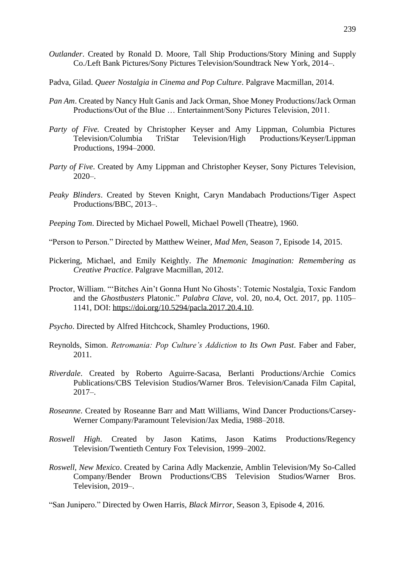- *Outlander*. Created by Ronald D. Moore, Tall Ship Productions/Story Mining and Supply Co./Left Bank Pictures/Sony Pictures Television/Soundtrack New York, 2014–.
- Padva, Gilad. *Queer Nostalgia in Cinema and Pop Culture*. Palgrave Macmillan, 2014.
- *Pan Am*. Created by Nancy Hult Ganis and Jack Orman, Shoe Money Productions/Jack Orman Productions/Out of the Blue … Entertainment/Sony Pictures Television, 2011.
- *Party of Five.* Created by Christopher Keyser and Amy Lippman, Columbia Pictures Television/Columbia TriStar Television/High Productions/Keyser/Lippman Productions, 1994–2000.
- *Party of Five*. Created by Amy Lippman and Christopher Keyser, Sony Pictures Television,  $2020 -$ .
- *Peaky Blinders*. Created by Steven Knight, Caryn Mandabach Productions/Tiger Aspect Productions/BBC, 2013–.
- *Peeping Tom*. Directed by Michael Powell, Michael Powell (Theatre), 1960.
- "Person to Person." Directed by Matthew Weiner, *Mad Men*, Season 7, Episode 14, 2015.
- Pickering, Michael, and Emily Keightly. *The Mnemonic Imagination: Remembering as Creative Practice*. Palgrave Macmillan, 2012.
- Proctor, William. "'Bitches Ain't Gonna Hunt No Ghosts': Totemic Nostalgia, Toxic Fandom and the *Ghostbusters* Platonic." *Palabra Clave*, vol. 20, no.4, Oct. 2017, pp. 1105– 1141, DOI: [https://doi.org/10.5294/pacla.2017.20.4.10.](https://doi.org/10.5294/pacla.2017.20.4.10)
- *Psycho*. Directed by Alfred Hitchcock, Shamley Productions, 1960.
- Reynolds, Simon. *Retromania: Pop Culture's Addiction to Its Own Past*. Faber and Faber, 2011.
- *Riverdale*. Created by Roberto Aguirre-Sacasa, Berlanti Productions/Archie Comics Publications/CBS Television Studios/Warner Bros. Television/Canada Film Capital,  $2017-$
- *Roseanne*. Created by Roseanne Barr and Matt Williams, Wind Dancer Productions/Carsey-Werner Company/Paramount Television/Jax Media, 1988–2018.
- *Roswell High*. Created by Jason Katims, Jason Katims Productions/Regency Television/Twentieth Century Fox Television, 1999–2002.
- *Roswell, New Mexico*. Created by Carina Adly Mackenzie, Amblin Television/My So-Called Company/Bender Brown Productions/CBS Television Studios/Warner Bros. Television, 2019–.

"San Junipero." Directed by Owen Harris, *Black Mirror*, Season 3, Episode 4, 2016.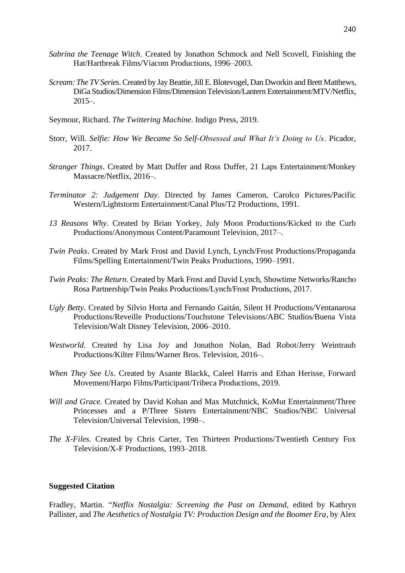- *Sabrina the Teenage Witch*. Created by Jonathon Schmock and Nell Scovell, Finishing the Hat/Hartbreak Films/Viacom Productions, 1996–2003.
- *Scream: The TV Series*. Created by Jay Beattie, Jill E. Blotevogel, Dan Dworkin and Brett Matthews, DiGa Studios/Dimension Films/Dimension Television/Lantern Entertainment/MTV/Netflix, 2015–.
- Seymour, Richard. *The Twittering Machine*. Indigo Press, 2019.
- Storr, Will. *Selfie: How We Became So Self-Obsessed and What It's Doing to Us*. Picador, 2017.
- *Stranger Things*. Created by Matt Duffer and Ross Duffer, 21 Laps Entertainment/Monkey Massacre/Netflix, 2016–.
- *Terminator 2: Judgement Day*. Directed by James Cameron, Carolco Pictures/Pacific Western/Lightstorm Entertainment/Canal Plus/T2 Productions, 1991.
- *13 Reasons Why*. Created by Brian Yorkey, July Moon Productions/Kicked to the Curb Productions/Anonymous Content/Paramount Television, 2017–.
- *Twin Peaks*. Created by Mark Frost and David Lynch, Lynch/Frost Productions/Propaganda Films/Spelling Entertainment/Twin Peaks Productions, 1990–1991.
- *Twin Peaks: The Return*. Created by Mark Frost and David Lynch, Showtime Networks/Rancho Rosa Partnership/Twin Peaks Productions/Lynch/Frost Productions, 2017.
- *Ugly Betty*. Created by Silvio Horta and Fernando Gaitán, Silent H Productions/Ventanarosa Productions/Reveille Productions/Touchstone Televisions/ABC Studios/Buena Vista Television/Walt Disney Television, 2006–2010.
- *Westworld*. Created by Lisa Joy and Jonathon Nolan, Bad Robot/Jerry Weintraub Productions/Kilter Films/Warner Bros. Television, 2016–.
- *When They See Us*. Created by Asante Blackk, Caleel Harris and Ethan Herisse, Forward Movement/Harpo Films/Participant/Tribeca Productions, 2019.
- *Will and Grace*. Created by David Kohan and Max Mutchnick, KoMut Entertainment/Three Princesses and a P/Three Sisters Entertainment/NBC Studios/NBC Universal Television/Universal Television, 1998–.
- *The X-Files*. Created by Chris Carter, Ten Thirteen Productions/Twentieth Century Fox Television/X-F Productions, 1993–2018.

### **Suggested Citation**

Fradley, Martin. "*Netflix Nostalgia: Screening the Past on Demand*, edited by Kathryn Pallister, and *The Aesthetics of Nostalgia TV: Production Design and the Boomer Era*, by Alex